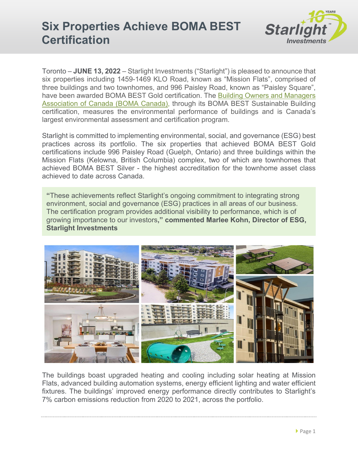

Toronto – **JUNE 13, 2022** – Starlight Investments ("Starlight") is pleased to announce that six properties including 1459-1469 KLO Road, known as "Mission Flats", comprised of three buildings and two townhomes, and 996 Paisley Road, known as "Paisley Square", have been awarded BOMA BEST Gold certification. The [Building Owners and Managers](https://bomacanada.ca/)  [Association of Canada \(BOMA](https://bomacanada.ca/) Canada), through its BOMA BEST Sustainable Building certification, measures the environmental performance of buildings and is Canada's largest environmental assessment and certification program.

Starlight is committed to implementing environmental, social, and governance (ESG) best practices across its portfolio. The six properties that achieved BOMA BEST Gold certifications include 996 Paisley Road (Guelph, Ontario) and three buildings within the Mission Flats (Kelowna, British Columbia) complex, two of which are townhomes that achieved BOMA BEST Silver - the highest accreditation for the townhome asset class achieved to date across Canada.

**"**These achievements reflect Starlight's ongoing commitment to integrating strong environment, social and governance (ESG) practices in all areas of our business. The certification program provides additional visibility to performance, which is of growing importance to our investors**," commented Marlee Kohn, Director of ESG, Starlight Investments** 



The buildings boast upgraded heating and cooling including solar heating at Mission Flats, advanced building automation systems, energy efficient lighting and water efficient fixtures. The buildings' improved energy performance directly contributes to Starlight's 7% carbon emissions reduction from 2020 to 2021, across the portfolio.